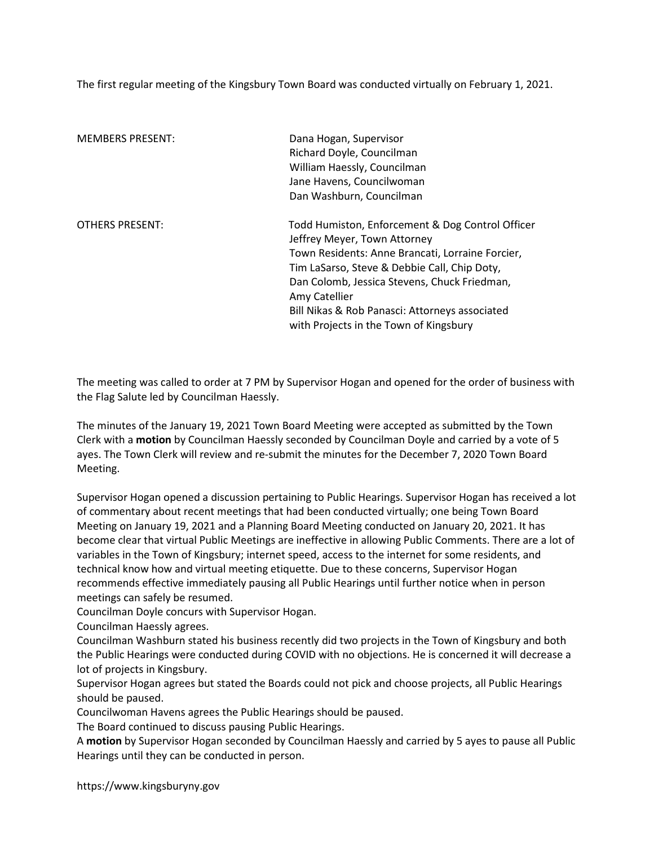The first regular meeting of the Kingsbury Town Board was conducted virtually on February 1, 2021.

| <b>MEMBERS PRESENT:</b> | Dana Hogan, Supervisor<br>Richard Doyle, Councilman<br>William Haessly, Councilman<br>Jane Havens, Councilwoman<br>Dan Washburn, Councilman                                                                                                                                                                                                       |
|-------------------------|---------------------------------------------------------------------------------------------------------------------------------------------------------------------------------------------------------------------------------------------------------------------------------------------------------------------------------------------------|
| <b>OTHERS PRESENT:</b>  | Todd Humiston, Enforcement & Dog Control Officer<br>Jeffrey Meyer, Town Attorney<br>Town Residents: Anne Brancati, Lorraine Forcier,<br>Tim LaSarso, Steve & Debbie Call, Chip Doty,<br>Dan Colomb, Jessica Stevens, Chuck Friedman,<br>Amy Catellier<br>Bill Nikas & Rob Panasci: Attorneys associated<br>with Projects in the Town of Kingsbury |

The meeting was called to order at 7 PM by Supervisor Hogan and opened for the order of business with the Flag Salute led by Councilman Haessly.

The minutes of the January 19, 2021 Town Board Meeting were accepted as submitted by the Town Clerk with a motion by Councilman Haessly seconded by Councilman Doyle and carried by a vote of 5 ayes. The Town Clerk will review and re-submit the minutes for the December 7, 2020 Town Board Meeting.

Supervisor Hogan opened a discussion pertaining to Public Hearings. Supervisor Hogan has received a lot of commentary about recent meetings that had been conducted virtually; one being Town Board Meeting on January 19, 2021 and a Planning Board Meeting conducted on January 20, 2021. It has become clear that virtual Public Meetings are ineffective in allowing Public Comments. There are a lot of variables in the Town of Kingsbury; internet speed, access to the internet for some residents, and technical know how and virtual meeting etiquette. Due to these concerns, Supervisor Hogan recommends effective immediately pausing all Public Hearings until further notice when in person meetings can safely be resumed.

Councilman Doyle concurs with Supervisor Hogan.

Councilman Haessly agrees.

Councilman Washburn stated his business recently did two projects in the Town of Kingsbury and both the Public Hearings were conducted during COVID with no objections. He is concerned it will decrease a lot of projects in Kingsbury.

Supervisor Hogan agrees but stated the Boards could not pick and choose projects, all Public Hearings should be paused.

Councilwoman Havens agrees the Public Hearings should be paused.

The Board continued to discuss pausing Public Hearings.

A motion by Supervisor Hogan seconded by Councilman Haessly and carried by 5 ayes to pause all Public Hearings until they can be conducted in person.

https://www.kingsburyny.gov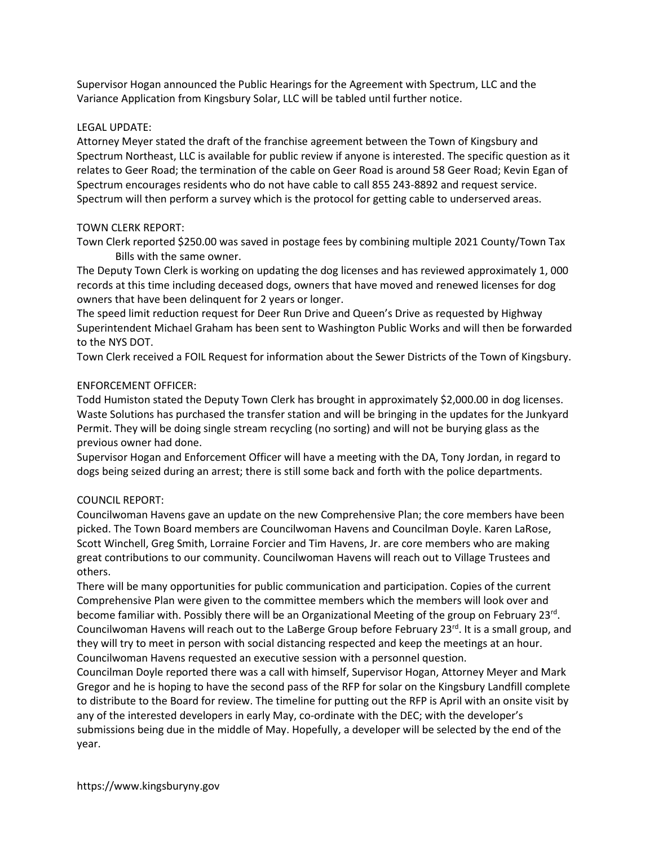Supervisor Hogan announced the Public Hearings for the Agreement with Spectrum, LLC and the Variance Application from Kingsbury Solar, LLC will be tabled until further notice.

#### LEGAL UPDATE:

Attorney Meyer stated the draft of the franchise agreement between the Town of Kingsbury and Spectrum Northeast, LLC is available for public review if anyone is interested. The specific question as it relates to Geer Road; the termination of the cable on Geer Road is around 58 Geer Road; Kevin Egan of Spectrum encourages residents who do not have cable to call 855 243-8892 and request service. Spectrum will then perform a survey which is the protocol for getting cable to underserved areas.

### TOWN CLERK REPORT:

Town Clerk reported \$250.00 was saved in postage fees by combining multiple 2021 County/Town Tax Bills with the same owner.

The Deputy Town Clerk is working on updating the dog licenses and has reviewed approximately 1, 000 records at this time including deceased dogs, owners that have moved and renewed licenses for dog owners that have been delinquent for 2 years or longer.

The speed limit reduction request for Deer Run Drive and Queen's Drive as requested by Highway Superintendent Michael Graham has been sent to Washington Public Works and will then be forwarded to the NYS DOT.

Town Clerk received a FOIL Request for information about the Sewer Districts of the Town of Kingsbury.

### ENFORCEMENT OFFICER:

Todd Humiston stated the Deputy Town Clerk has brought in approximately \$2,000.00 in dog licenses. Waste Solutions has purchased the transfer station and will be bringing in the updates for the Junkyard Permit. They will be doing single stream recycling (no sorting) and will not be burying glass as the previous owner had done.

Supervisor Hogan and Enforcement Officer will have a meeting with the DA, Tony Jordan, in regard to dogs being seized during an arrest; there is still some back and forth with the police departments.

# COUNCIL REPORT:

Councilwoman Havens gave an update on the new Comprehensive Plan; the core members have been picked. The Town Board members are Councilwoman Havens and Councilman Doyle. Karen LaRose, Scott Winchell, Greg Smith, Lorraine Forcier and Tim Havens, Jr. are core members who are making great contributions to our community. Councilwoman Havens will reach out to Village Trustees and others.

There will be many opportunities for public communication and participation. Copies of the current Comprehensive Plan were given to the committee members which the members will look over and become familiar with. Possibly there will be an Organizational Meeting of the group on February 23<sup>rd</sup>. Councilwoman Havens will reach out to the LaBerge Group before February  $23^{rd}$ . It is a small group, and they will try to meet in person with social distancing respected and keep the meetings at an hour. Councilwoman Havens requested an executive session with a personnel question.

Councilman Doyle reported there was a call with himself, Supervisor Hogan, Attorney Meyer and Mark Gregor and he is hoping to have the second pass of the RFP for solar on the Kingsbury Landfill complete to distribute to the Board for review. The timeline for putting out the RFP is April with an onsite visit by any of the interested developers in early May, co-ordinate with the DEC; with the developer's submissions being due in the middle of May. Hopefully, a developer will be selected by the end of the year.